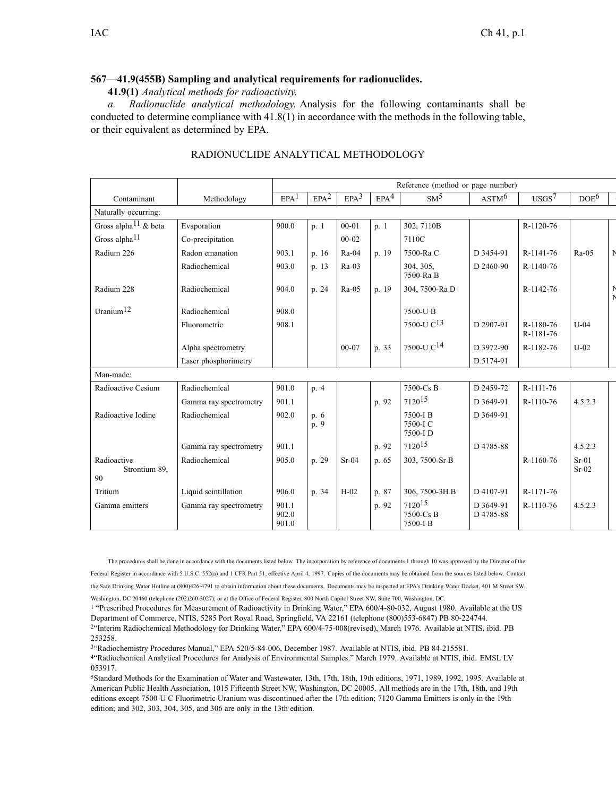## **567—41.9(455B) Sampling and analytical requirements for radionuclides.**

**41.9(1)** *Analytical methods for radioactivity.*

*a. Radionuclide analytical methodology.* Analysis for the following contaminants shall be conducted to determine compliance with 41.8(1) in accordance with the methods in the following table, or their equivalent as determined by EPA.

|                                    |                        | Reference (method or page number) |                  |                  |                  |                                  |                        |                        |                    |  |
|------------------------------------|------------------------|-----------------------------------|------------------|------------------|------------------|----------------------------------|------------------------|------------------------|--------------------|--|
| Contaminant                        | Methodology            | EPA <sup>1</sup>                  | EPA <sup>2</sup> | EPA <sup>3</sup> | EPA <sup>4</sup> | SM <sup>5</sup>                  | ASTM <sup>6</sup>      | USGS <sup>7</sup>      | DOE <sup>6</sup>   |  |
| Naturally occurring:               |                        |                                   |                  |                  |                  |                                  |                        |                        |                    |  |
| Gross alpha <sup>11</sup> & beta   | Evaporation            | 900.0                             | p. 1             | $00 - 01$        | p.1              | 302, 7110B                       |                        | R-1120-76              |                    |  |
| Gross alpha <sup>11</sup>          | Co-precipitation       |                                   |                  | $00 - 02$        |                  | 7110C                            |                        |                        |                    |  |
| Radium 226                         | Radon emanation        | 903.1                             | p. 16            | $Ra-04$          | p. 19            | 7500-Ra C                        | D 3454-91              | R-1141-76              | $Ra-05$            |  |
|                                    | Radiochemical          | 903.0                             | p. 13            | $Ra-03$          |                  | 304, 305,<br>7500-Ra B           | D 2460-90              | R-1140-76              |                    |  |
| Radium 228                         | Radiochemical          | 904.0                             | p. 24            | Ra-05            | p. 19            | 304, 7500-Ra D                   |                        | R-1142-76              |                    |  |
| Uranium $12$                       | Radiochemical          | 908.0                             |                  |                  |                  | 7500-UB                          |                        |                        |                    |  |
|                                    | Fluorometric           | 908.1                             |                  |                  |                  | 7500-U $C^{13}$                  | D 2907-91              | R-1180-76<br>R-1181-76 | $U-04$             |  |
|                                    | Alpha spectrometry     |                                   |                  | $00 - 07$        | p. 33            | 7500-U $C^{14}$                  | D 3972-90              | R-1182-76              | $U-02$             |  |
|                                    | Laser phosphorimetry   |                                   |                  |                  |                  |                                  | D 5174-91              |                        |                    |  |
| Man-made:                          |                        |                                   |                  |                  |                  |                                  |                        |                        |                    |  |
| Radioactive Cesium                 | Radiochemical          | 901.0                             | p. 4             |                  |                  | 7500-Cs B                        | D 2459-72              | R-1111-76              |                    |  |
|                                    | Gamma ray spectrometry | 901.1                             |                  |                  | p. 92            | 7120 <sup>15</sup>               | D 3649-91              | R-1110-76              | 4.5.2.3            |  |
| Radioactive Iodine                 | Radiochemical          | 902.0                             | p. 6<br>p. 9     |                  |                  | 7500-I B<br>7500-I C<br>7500-I D | D 3649-91              |                        |                    |  |
|                                    | Gamma ray spectrometry | 901.1                             |                  |                  | p. 92            | 712015                           | D 4785-88              |                        | 4.5.2.3            |  |
| Radioactive<br>Strontium 89,<br>90 | Radiochemical          | 905.0                             | p. 29            | $Sr-04$          | p. 65            | 303, 7500-Sr B                   |                        | R-1160-76              | $Sr-01$<br>$Sr-02$ |  |
| Tritium                            | Liquid scintillation   | 906.0                             | p. 34            | $H-02$           | p. 87            | 306, 7500-3H B                   | D 4107-91              | R-1171-76              |                    |  |
| Gamma emitters                     | Gamma ray spectrometry | 901.1<br>902.0<br>901.0           |                  |                  | p. 92            | 712015<br>7500-Cs B<br>7500-I B  | D 3649-91<br>D 4785-88 | R-1110-76              | 4.5.2.3            |  |

## RADIONUCLIDE ANALYTICAL METHODOLOGY

The procedures shall be done in accordance with the documents listed below. The incorporation by reference of documents 1 through 10 was approved by the Director of the

Federal Register in accordance with 5 U.S.C. 552(a) and 1 CFR Part 51, effective April 4, 1997. Copies of the documents may be obtained from the sources listed below. Contact the Safe Drinking Water Hotline at (800)426-4791 to obtain information about these documents. Documents may be inspected at EPA's Drinking Water Docket, 401 M Street SW,

Washington, DC 20460 (telephone (202)260-3027); or at the Office of Federal Register, 800 North Capitol Street NW, Suite 700, Washington, DC.

<sup>1</sup> "Prescribed Procedures for Measurement of Radioactivity in Drinking Water," EPA 600/4-80-032, August 1980. Available at the US Department of Commerce, NTIS, 5285 Port Royal Road, Springfield, VA 22161 (telephone (800)553-6847) PB 80-224744. <sup>2</sup><sup>c</sup>Interim Radiochemical Methodology for Drinking Water," EPA 600/4-75-008(revised), March 1976. Available at NTIS, ibid. PB

3 "Radiochemistry Procedures Manual," EPA 520/5-84-006, December 1987. Available at NTIS, ibid. PB 84-215581.

4 "Radiochemical Analytical Procedures for Analysis of Environmental Samples." March 1979. Available at NTIS, ibid. EMSL LV 053917.

<sup>5</sup>Standard Methods for the Examination of Water and Wastewater, 13th, 17th, 18th, 19th editions, 1971, 1989, 1992, 1995. Available at American Public Health Association, 1015 Fifteenth Street NW, Washington, DC 20005. All methods are in the 17th, 18th, and 19th editions excep<sup>t</sup> 7500-U C Fluorimetric Uranium was discontinued after the 17th edition; 7120 Gamma Emitters is only in the 19th edition; and 302, 303, 304, 305, and 306 are only in the 13th edition.

253258.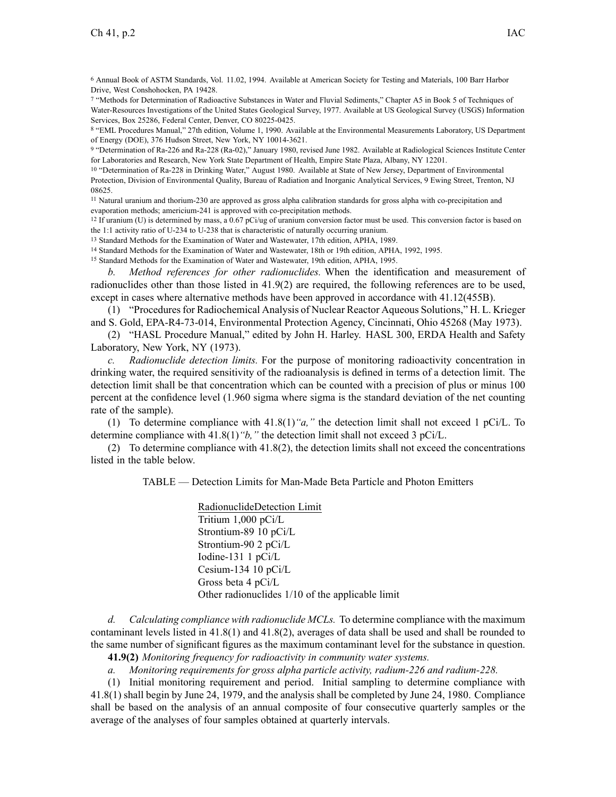<sup>6</sup> Annual Book of ASTM Standards, Vol. 11.02, 1994. Available at American Society for Testing and Materials, 100 Barr Harbor Drive, West Conshohocken, PA 19428.

7 "Methods for Determination of Radioactive Substances in Water and Fluvial Sediments," Chapter A5 in Book 5 of Techniques of Water-Resources Investigations of the United States Geological Survey, 1977. Available at US Geological Survey (USGS) Information Services, Box 25286, Federal Center, Denver, CO 80225-0425.

8 "EML Procedures Manual," 27th edition, Volume 1, 1990. Available at the Environmental Measurements Laboratory, US Department of Energy (DOE), 376 Hudson Street, New York, NY 10014-3621.

9 "Determination of Ra-226 and Ra-228 (Ra-02)," January 1980, revised June 1982. Available at Radiological Sciences Institute Center for Laboratories and Research, New York State Department of Health, Empire State Plaza, Albany, NY 12201.

10 "Determination of Ra-228 in Drinking Water," August 1980. Available at State of New Jersey, Department of Environmental Protection, Division of Environmental Quality, Bureau of Radiation and Inorganic Analytical Services, 9 Ewing Street, Trenton, NJ 08625.

<sup>11</sup> Natural uranium and thorium-230 are approved as gross alpha calibration standards for gross alpha with co-precipitation and evaporation methods; americium-241 is approved with co-precipitation methods.

<sup>12</sup> If uranium (U) is determined by mass, a 0.67 pCi/ug of uranium conversion factor must be used. This conversion factor is based on the 1:1 activity ratio of U-234 to U-238 that is characteristic of naturally occurring uranium.

<sup>13</sup> Standard Methods for the Examination of Water and Wastewater, 17th edition, APHA, 1989.

<sup>14</sup> Standard Methods for the Examination of Water and Wastewater, 18th or 19th edition, APHA, 1992, 1995.

<sup>15</sup> Standard Methods for the Examination of Water and Wastewater, 19th edition, APHA, 1995.

*b. Method references for other radionuclides.* When the identification and measurement of radionuclides other than those listed in 41.9(2) are required, the following references are to be used, excep<sup>t</sup> in cases where alternative methods have been approved in accordance with 41.12(455B).

(1) "Proceduresfor Radiochemical Analysis of Nuclear Reactor Aqueous Solutions," H. L. Krieger and S. Gold, EPA-R4-73-014, Environmental Protection Agency, Cincinnati, Ohio 45268 (May 1973).

(2) "HASL Procedure Manual," edited by John H. Harley. HASL 300, ERDA Health and Safety Laboratory, New York, NY (1973).

*c. Radionuclide detection limits.* For the purpose of monitoring radioactivity concentration in drinking water, the required sensitivity of the radioanalysis is defined in terms of <sup>a</sup> detection limit. The detection limit shall be that concentration which can be counted with <sup>a</sup> precision of plus or minus 100 percen<sup>t</sup> at the confidence level (1.960 sigma where sigma is the standard deviation of the net counting rate of the sample).

(1) To determine compliance with 41.8(1)*"a,"* the detection limit shall not exceed 1 pCi/L. To determine compliance with 41.8(1)*"b,"* the detection limit shall not exceed 3 pCi/L.

(2) To determine compliance with 41.8(2), the detection limits shall not exceed the concentrations listed in the table below.

TABLE — Detection Limits for Man-Made Beta Particle and Photon Emitters

RadionuclideDetection Limit Tritium 1,000 pCi/L Strontium-89 10 pCi/L Strontium-90 2 pCi/L Iodine-131 1 pCi/L Cesium-134 10 pCi/L Gross beta 4 pCi/L Other radionuclides 1/10 of the applicable limit

*d. Calculating compliance with radionuclide MCLs.* To determine compliance with the maximum contaminant levels listed in 41.8(1) and 41.8(2), averages of data shall be used and shall be rounded to the same number of significant figures as the maximum contaminant level for the substance in question.

**41.9(2)** *Monitoring frequency for radioactivity in community water systems.*

*a. Monitoring requirements for gross alpha particle activity, radium-226 and radium-228.*

(1) Initial monitoring requirement and period. Initial sampling to determine compliance with 41.8(1) shall begin by June 24, 1979, and the analysis shall be completed by June 24, 1980. Compliance shall be based on the analysis of an annual composite of four consecutive quarterly samples or the average of the analyses of four samples obtained at quarterly intervals.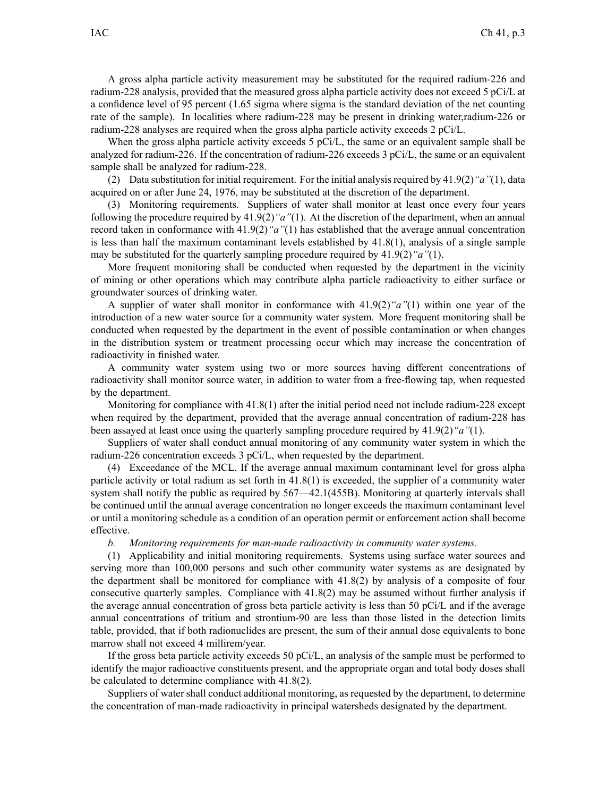A gross alpha particle activity measurement may be substituted for the required radium-226 and radium-228 analysis, provided that the measured gross alpha particle activity does not exceed 5 pCi/L at <sup>a</sup> confidence level of 95 percen<sup>t</sup> (1.65 sigma where sigma is the standard deviation of the net counting rate of the sample). In localities where radium-228 may be presen<sup>t</sup> in drinking water,radium-226 or radium-228 analyses are required when the gross alpha particle activity exceeds 2 pCi/L.

When the gross alpha particle activity exceeds 5 pCi/L, the same or an equivalent sample shall be analyzed for radium-226. If the concentration of radium-226 exceeds 3 pCi/L, the same or an equivalent sample shall be analyzed for radium-228.

(2) Data substitution for initial requirement. For the initial analysisrequired by 41.9(2)*"a"*(1), data acquired on or after June 24, 1976, may be substituted at the discretion of the department.

(3) Monitoring requirements. Suppliers of water shall monitor at least once every four years following the procedure required by 41.9(2)*"a"*(1). At the discretion of the department, when an annual record taken in conformance with 41.9(2)*"a"*(1) has established that the average annual concentration is less than half the maximum contaminant levels established by 41.8(1), analysis of <sup>a</sup> single sample may be substituted for the quarterly sampling procedure required by 41.9(2)*"a"*(1).

More frequent monitoring shall be conducted when requested by the department in the vicinity of mining or other operations which may contribute alpha particle radioactivity to either surface or groundwater sources of drinking water.

A supplier of water shall monitor in conformance with 41.9(2)*"a"*(1) within one year of the introduction of <sup>a</sup> new water source for <sup>a</sup> community water system. More frequent monitoring shall be conducted when requested by the department in the event of possible contamination or when changes in the distribution system or treatment processing occur which may increase the concentration of radioactivity in finished water.

A community water system using two or more sources having different concentrations of radioactivity shall monitor source water, in addition to water from <sup>a</sup> free-flowing tap, when requested by the department.

Monitoring for compliance with 41.8(1) after the initial period need not include radium-228 excep<sup>t</sup> when required by the department, provided that the average annual concentration of radium-228 has been assayed at least once using the quarterly sampling procedure required by 41.9(2)*"a"*(1).

Suppliers of water shall conduct annual monitoring of any community water system in which the radium-226 concentration exceeds 3 pCi/L, when requested by the department.

(4) Exceedance of the MCL. If the average annual maximum contaminant level for gross alpha particle activity or total radium as set forth in 41.8(1) is exceeded, the supplier of <sup>a</sup> community water system shall notify the public as required by  $567-42.1(455B)$ . Monitoring at quarterly intervals shall be continued until the annual average concentration no longer exceeds the maximum contaminant level or until <sup>a</sup> monitoring schedule as <sup>a</sup> condition of an operation permit or enforcement action shall become effective.

*b. Monitoring requirements for man-made radioactivity in community water systems.*

(1) Applicability and initial monitoring requirements. Systems using surface water sources and serving more than 100,000 persons and such other community water systems as are designated by the department shall be monitored for compliance with 41.8(2) by analysis of <sup>a</sup> composite of four consecutive quarterly samples. Compliance with 41.8(2) may be assumed without further analysis if the average annual concentration of gross beta particle activity is less than 50 pCi/L and if the average annual concentrations of tritium and strontium-90 are less than those listed in the detection limits table, provided, that if both radionuclides are present, the sum of their annual dose equivalents to bone marrow shall not exceed 4 millirem/year.

If the gross beta particle activity exceeds 50 pCi/L, an analysis of the sample must be performed to identify the major radioactive constituents present, and the appropriate organ and total body doses shall be calculated to determine compliance with 41.8(2).

Suppliers of water shall conduct additional monitoring, as requested by the department, to determine the concentration of man-made radioactivity in principal watersheds designated by the department.